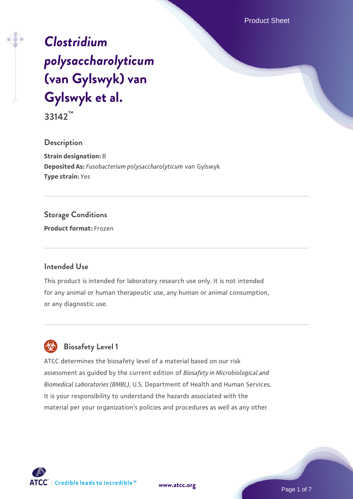Product Sheet

# *[Clostridium](https://www.atcc.org/products/33142) [polysaccharolyticum](https://www.atcc.org/products/33142)* **[\(van Gylswyk\) van](https://www.atcc.org/products/33142) [Gylswyk et al.](https://www.atcc.org/products/33142)**

**33142™**

**Description**

**Strain designation:** B **Deposited As:** *Fusobacterium polysaccharolyticum* van Gylswyk **Type strain:** Yes

#### **Storage Conditions**

**Product format:** Frozen

#### **Intended Use**

This product is intended for laboratory research use only. It is not intended for any animal or human therapeutic use, any human or animal consumption, or any diagnostic use.



ATCC determines the biosafety level of a material based on our risk assessment as guided by the current edition of *Biosafety in Microbiological and Biomedical Laboratories (BMBL)*, U.S. Department of Health and Human Services. It is your responsibility to understand the hazards associated with the material per your organization's policies and procedures as well as any other



**[www.atcc.org](http://www.atcc.org)**

Page 1 of 7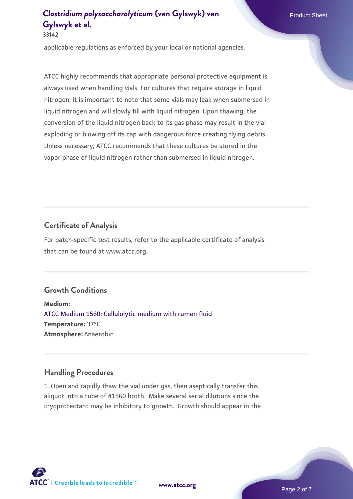applicable regulations as enforced by your local or national agencies.

ATCC highly recommends that appropriate personal protective equipment is always used when handling vials. For cultures that require storage in liquid nitrogen, it is important to note that some vials may leak when submersed in liquid nitrogen and will slowly fill with liquid nitrogen. Upon thawing, the conversion of the liquid nitrogen back to its gas phase may result in the vial exploding or blowing off its cap with dangerous force creating flying debris. Unless necessary, ATCC recommends that these cultures be stored in the vapor phase of liquid nitrogen rather than submersed in liquid nitrogen.

#### **Certificate of Analysis**

For batch-specific test results, refer to the applicable certificate of analysis that can be found at www.atcc.org.

### **Growth Conditions**

**Medium:**  [ATCC Medium 1560: Cellulolytic medium with rumen fluid](https://www.atcc.org/-/media/product-assets/documents/microbial-media-formulations/atcc-medium-1560.pdf?rev=6a983853c1e549b7b401adf79acebf4b) **Temperature:** 37°C **Atmosphere:** Anaerobic

#### **Handling Procedures**

1. Open and rapidly thaw the vial under gas, then aseptically transfer this aliquot into a tube of #1560 broth. Make several serial dilutions since the cryoprotectant may be inhibitory to growth. Growth should appear in the



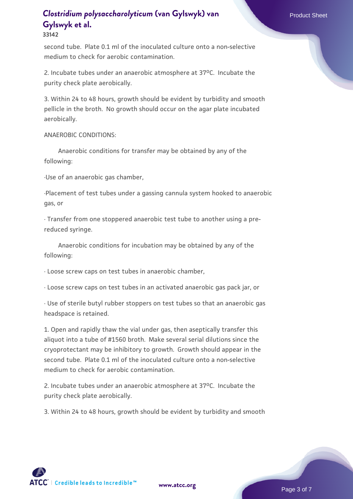#### **33142**

second tube. Plate 0.1 ml of the inoculated culture onto a non-selective medium to check for aerobic contamination.

2. Incubate tubes under an anaerobic atmosphere at 37°C. Incubate the purity check plate aerobically.

3. Within 24 to 48 hours, growth should be evident by turbidity and smooth pellicle in the broth. No growth should occur on the agar plate incubated aerobically.

ANAEROBIC CONDITIONS:

 Anaerobic conditions for transfer may be obtained by any of the following:

·Use of an anaerobic gas chamber,

·Placement of test tubes under a gassing cannula system hooked to anaerobic gas, or

· Transfer from one stoppered anaerobic test tube to another using a prereduced syringe.

 Anaerobic conditions for incubation may be obtained by any of the following:

· Loose screw caps on test tubes in anaerobic chamber,

· Loose screw caps on test tubes in an activated anaerobic gas pack jar, or

· Use of sterile butyl rubber stoppers on test tubes so that an anaerobic gas headspace is retained.

1. Open and rapidly thaw the vial under gas, then aseptically transfer this aliquot into a tube of #1560 broth. Make several serial dilutions since the cryoprotectant may be inhibitory to growth. Growth should appear in the second tube. Plate 0.1 ml of the inoculated culture onto a non-selective medium to check for aerobic contamination.

2. Incubate tubes under an anaerobic atmosphere at 37oC. Incubate the purity check plate aerobically.

3. Within 24 to 48 hours, growth should be evident by turbidity and smooth

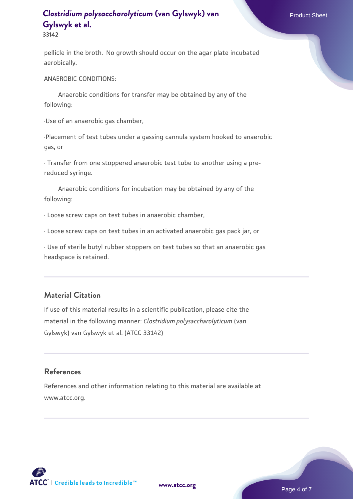**33142**

pellicle in the broth. No growth should occur on the agar plate incubated aerobically.

ANAEROBIC CONDITIONS:

 Anaerobic conditions for transfer may be obtained by any of the following:

·Use of an anaerobic gas chamber,

·Placement of test tubes under a gassing cannula system hooked to anaerobic gas, or

· Transfer from one stoppered anaerobic test tube to another using a prereduced syringe.

 Anaerobic conditions for incubation may be obtained by any of the following:

· Loose screw caps on test tubes in anaerobic chamber,

· Loose screw caps on test tubes in an activated anaerobic gas pack jar, or

· Use of sterile butyl rubber stoppers on test tubes so that an anaerobic gas headspace is retained.

### **Material Citation**

If use of this material results in a scientific publication, please cite the material in the following manner: *Clostridium polysaccharolyticum* (van Gylswyk) van Gylswyk et al. (ATCC 33142)

#### **References**

References and other information relating to this material are available at www.atcc.org.

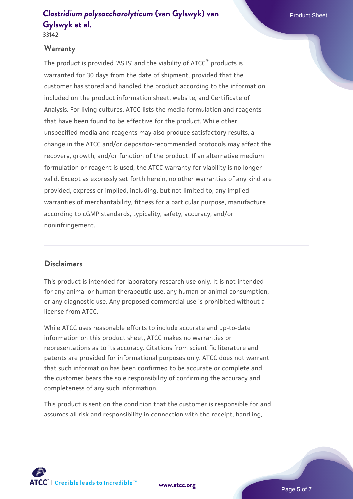**33142**

### **Warranty**

The product is provided 'AS IS' and the viability of ATCC<sup>®</sup> products is warranted for 30 days from the date of shipment, provided that the customer has stored and handled the product according to the information included on the product information sheet, website, and Certificate of Analysis. For living cultures, ATCC lists the media formulation and reagents that have been found to be effective for the product. While other unspecified media and reagents may also produce satisfactory results, a change in the ATCC and/or depositor-recommended protocols may affect the recovery, growth, and/or function of the product. If an alternative medium formulation or reagent is used, the ATCC warranty for viability is no longer valid. Except as expressly set forth herein, no other warranties of any kind are provided, express or implied, including, but not limited to, any implied warranties of merchantability, fitness for a particular purpose, manufacture according to cGMP standards, typicality, safety, accuracy, and/or noninfringement.

### **Disclaimers**

This product is intended for laboratory research use only. It is not intended for any animal or human therapeutic use, any human or animal consumption, or any diagnostic use. Any proposed commercial use is prohibited without a license from ATCC.

While ATCC uses reasonable efforts to include accurate and up-to-date information on this product sheet, ATCC makes no warranties or representations as to its accuracy. Citations from scientific literature and patents are provided for informational purposes only. ATCC does not warrant that such information has been confirmed to be accurate or complete and the customer bears the sole responsibility of confirming the accuracy and completeness of any such information.

This product is sent on the condition that the customer is responsible for and assumes all risk and responsibility in connection with the receipt, handling,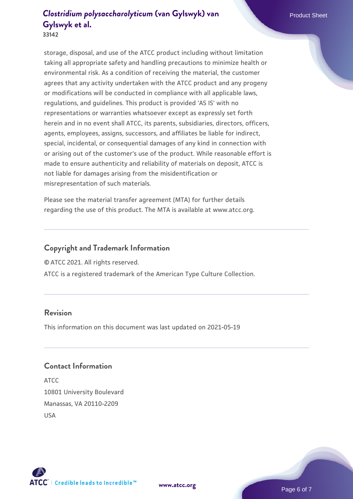**33142**

storage, disposal, and use of the ATCC product including without limitation taking all appropriate safety and handling precautions to minimize health or environmental risk. As a condition of receiving the material, the customer agrees that any activity undertaken with the ATCC product and any progeny or modifications will be conducted in compliance with all applicable laws, regulations, and guidelines. This product is provided 'AS IS' with no representations or warranties whatsoever except as expressly set forth herein and in no event shall ATCC, its parents, subsidiaries, directors, officers, agents, employees, assigns, successors, and affiliates be liable for indirect, special, incidental, or consequential damages of any kind in connection with or arising out of the customer's use of the product. While reasonable effort is made to ensure authenticity and reliability of materials on deposit, ATCC is not liable for damages arising from the misidentification or misrepresentation of such materials.

Please see the material transfer agreement (MTA) for further details regarding the use of this product. The MTA is available at www.atcc.org.

#### **Copyright and Trademark Information**

© ATCC 2021. All rights reserved.

ATCC is a registered trademark of the American Type Culture Collection.

#### **Revision**

This information on this document was last updated on 2021-05-19

#### **Contact Information**

ATCC 10801 University Boulevard Manassas, VA 20110-2209 USA